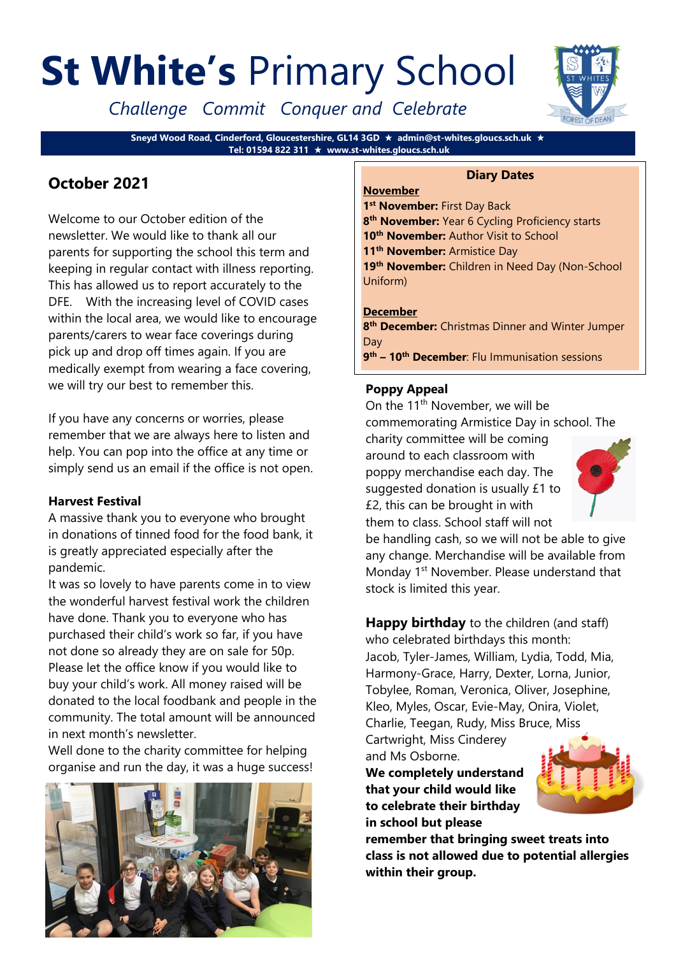# **St White's** Primary School

*Challenge Commit Conquer and Celebrate*

**Sneyd Wood Road, Cinderford, Gloucestershire, GL14 3GD admin@st-whites.gloucs.sch.uk Tel: 01594 822 311 www.st-whites.gloucs.sch.uk**

## **October 2021**

Welcome to our October edition of the newsletter. We would like to thank all our parents for supporting the school this term and keeping in regular contact with illness reporting. This has allowed us to report accurately to the DFE. With the increasing level of COVID cases within the local area, we would like to encourage parents/carers to wear face coverings during pick up and drop off times again. If you are medically exempt from wearing a face covering, we will try our best to remember this.

If you have any concerns or worries, please remember that we are always here to listen and help. You can pop into the office at any time or simply send us an email if the office is not open.

#### **Harvest Festival**

A massive thank you to everyone who brought in donations of tinned food for the food bank, it is greatly appreciated especially after the pandemic.

It was so lovely to have parents come in to view the wonderful harvest festival work the children have done. Thank you to everyone who has purchased their child's work so far, if you have not done so already they are on sale for 50p. Please let the office know if you would like to buy your child's work. All money raised will be donated to the local foodbank and people in the community. The total amount will be announced in next month's newsletter.

Well done to the charity committee for helping organise and run the day, it was a huge success!



#### **Diary Dates November**

1<sup>st</sup> November: First Day Back **th November:** Year 6 Cycling Proficiency starts **th November:** Author Visit to School **th November:** Armistice Day **th November:** Children in Need Day (Non-School Uniform)

#### **December**

**8 th December:** Christmas Dinner and Winter Jumper Day

**9 th – 10th December**: Flu Immunisation sessions

#### **Poppy Appeal**

On the  $11<sup>th</sup>$  November, we will be commemorating Armistice Day in school. The charity committee will be coming

around to each classroom with poppy merchandise each day. The suggested donation is usually £1 to £2, this can be brought in with them to class. School staff will not



be handling cash, so we will not be able to give any change. Merchandise will be available from Monday 1<sup>st</sup> November. Please understand that stock is limited this year.

**Happy birthday** to the children (and staff) who celebrated birthdays this month: Jacob, Tyler-James, William, Lydia, Todd, Mia, Harmony-Grace, Harry, Dexter, Lorna, Junior, Tobylee, Roman, Veronica, Oliver, Josephine, Kleo, Myles, Oscar, Evie-May, Onira, Violet, Charlie, Teegan, Rudy, Miss Bruce, Miss

Cartwright, Miss Cinderey and Ms Osborne.

**We completely understand that your child would like to celebrate their birthday in school but please** 



**remember that bringing sweet treats into class is not allowed due to potential allergies within their group.** 

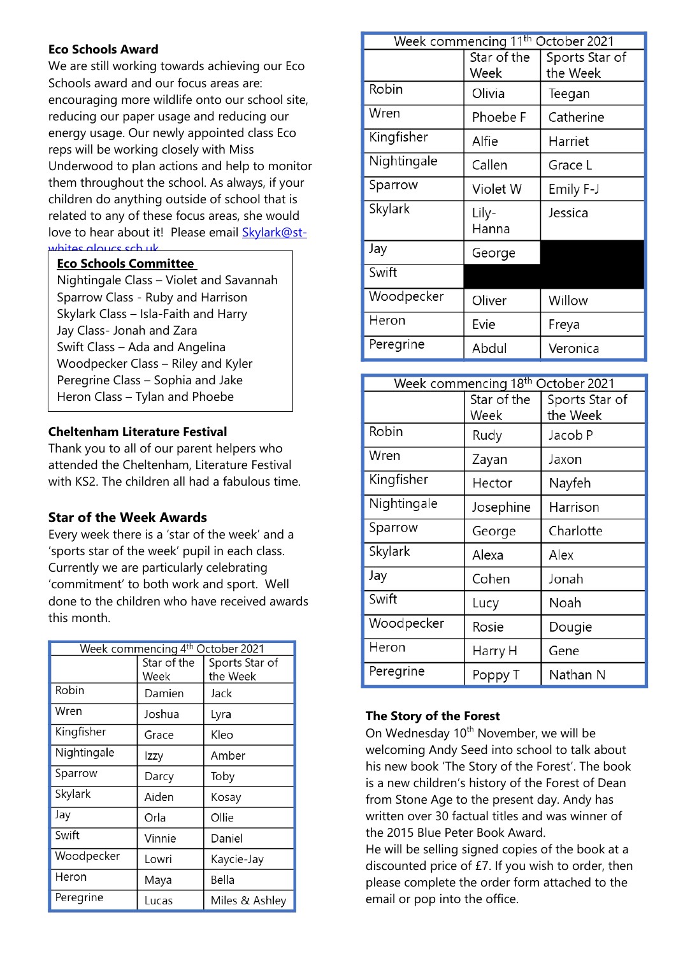#### **Eco Schools Award**

We are still working towards achieving our Eco Schools award and our focus areas are: encouraging more wildlife onto our school site, reducing our paper usage and reducing our energy usage. Our newly appointed class Eco reps will be working closely with Miss Underwood to plan actions and help to monitor them throughout the school. As always, if your children do anything outside of school that is related to any of these focus areas, she would love to hear about it! Please email [Skylark@st](mailto:Skylark@st-whites.gloucs.sch.uk)[whites.gloucs.sch.uk](mailto:Skylark@st-whites.gloucs.sch.uk)

#### **Eco Schools Committee**

Nightingale Class – Violet and Savannah Sparrow Class - Ruby and Harrison Skylark Class – Isla-Faith and Harry Jay Class- Jonah and Zara Swift Class – Ada and Angelina Woodpecker Class – Riley and Kyler Peregrine Class – Sophia and Jake Heron Class – Tylan and Phoebe

#### **Cheltenham Literature Festival**

Thank you to all of our parent helpers who attended the Cheltenham, Literature Festival with KS2. The children all had a fabulous time.

#### **Star of the Week Awards**

Every week there is a 'star of the week' and a 'sports star of the week' pupil in each class. Currently we are particularly celebrating 'commitment' to both work and sport. Well done to the children who have received awards this month.

| Week commencing 4th October 2021 |                     |                            |  |
|----------------------------------|---------------------|----------------------------|--|
|                                  | Star of the<br>Week | Sports Star of<br>the Week |  |
| Robin                            | Damien              | Jack                       |  |
| Wren                             | Joshua              | Lyra                       |  |
| Kingfisher                       | Grace               | Kleo                       |  |
| Nightingale                      | Izzy                | Amber                      |  |
| Sparrow                          | Darcy               | Toby                       |  |
| Skylark                          | Aiden               | Kosay                      |  |
| Jay                              | Orla                | Ollie                      |  |
| Swift                            | Vinnie              | Daniel                     |  |
| Woodpecker                       | Lowri               | Kaycie-Jay                 |  |
| Heron                            | Maya                | Bella                      |  |
| Peregrine                        | Lucas               | Miles & Ashley             |  |

| Week commencing 11 <sup>th</sup><br>October 2021 |                     |                            |  |  |
|--------------------------------------------------|---------------------|----------------------------|--|--|
|                                                  | Star of the<br>Week | Sports Star of<br>the Week |  |  |
| Robin                                            | Olivia              | Teegan                     |  |  |
| Wren                                             | Phoebe F            | Catherine                  |  |  |
| Kingfisher                                       | Alfie               | Harriet                    |  |  |
| Nightingale                                      | Callen              | Grace L                    |  |  |
| Sparrow                                          | Violet W            | Emily F-J                  |  |  |
| Skylark                                          | Lily-<br>Hanna      | Jessica                    |  |  |
| Jay                                              | George              |                            |  |  |
| Swift                                            |                     |                            |  |  |
| Woodpecker                                       | Oliver              | Willow                     |  |  |
| Heron                                            | Evie                | Freya                      |  |  |
| Peregrine                                        | Abdul               | Veronica                   |  |  |

| Week commencing 18 <sup>th</sup> October 2021 |                     |                            |  |
|-----------------------------------------------|---------------------|----------------------------|--|
|                                               | Star of the<br>Week | Sports Star of<br>the Week |  |
| Robin                                         | Rudy                | Jacob P                    |  |
| Wren                                          | Zayan               | Jaxon                      |  |
| Kingfisher                                    | Hector              | Nayfeh                     |  |
| Nightingale                                   | Josephine           | Harrison                   |  |
| Sparrow                                       | George              | Charlotte                  |  |
| Skylark                                       | Alexa               | Alex                       |  |
| Jay                                           | Cohen               | Jonah                      |  |
| Swift                                         | Lucy                | Noah                       |  |
| Woodpecker                                    | Rosie               | Dougie                     |  |
| Heron                                         | Harry H             | Gene                       |  |
| Peregrine                                     | Poppy T             | Nathan N                   |  |

#### **The Story of the Forest**

On Wednesday 10<sup>th</sup> November, we will be welcoming Andy Seed into school to talk about his new book 'The Story of the Forest'. The book is a new children's history of the Forest of Dean from Stone Age to the present day. Andy has written over 30 factual titles and was winner of the 2015 Blue Peter Book Award.

He will be selling signed copies of the book at a discounted price of £7. If you wish to order, then please complete the order form attached to the email or pop into the office.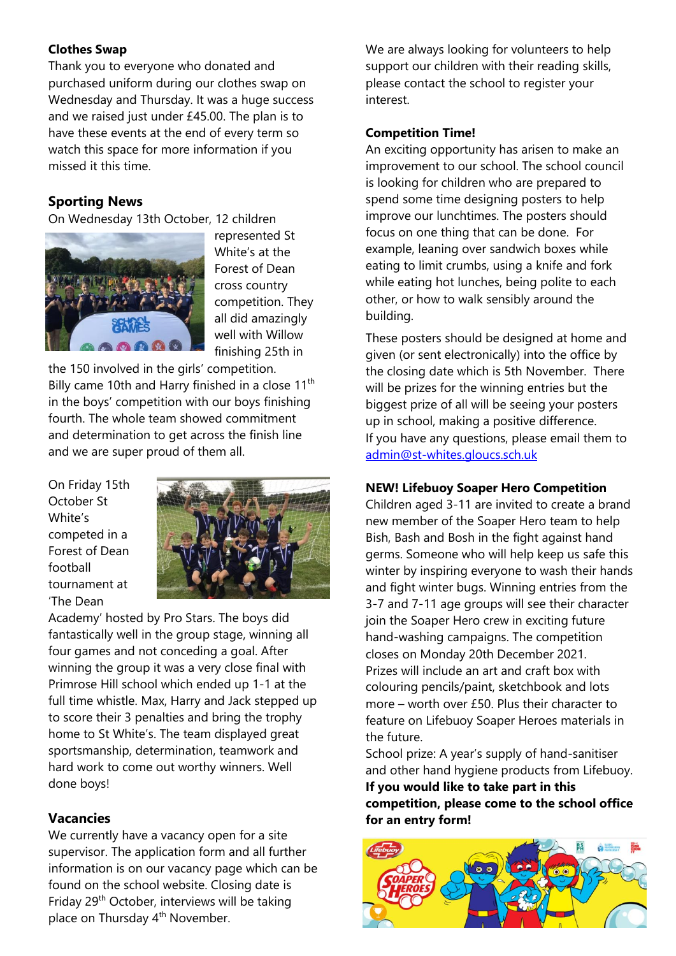#### **Clothes Swap**

Thank you to everyone who donated and purchased uniform during our clothes swap on Wednesday and Thursday. It was a huge success and we raised just under £45.00. The plan is to have these events at the end of every term so watch this space for more information if you missed it this time.

#### **Sporting News**

On Wednesday 13th October, 12 children



represented St White's at the Forest of Dean cross country competition. They all did amazingly well with Willow finishing 25th in

the 150 involved in the girls' competition. Billy came 10th and Harry finished in a close  $11<sup>th</sup>$ in the boys' competition with our boys finishing fourth. The whole team showed commitment and determination to get across the finish line and we are super proud of them all.

On Friday 15th October St White's competed in a Forest of Dean football tournament at 'The Dean



Academy' hosted by Pro Stars. The boys did fantastically well in the group stage, winning all four games and not conceding a goal. After winning the group it was a very close final with Primrose Hill school which ended up 1-1 at the full time whistle. Max, Harry and Jack stepped up to score their 3 penalties and bring the trophy home to St White's. The team displayed great sportsmanship, determination, teamwork and hard work to come out worthy winners. Well done boys!

### **Vacancies**

We currently have a vacancy open for a site supervisor. The application form and all further information is on our vacancy page which can be found on the school website. Closing date is Friday 29th October, interviews will be taking place on Thursday 4<sup>th</sup> November.

We are always looking for volunteers to help support our children with their reading skills, please contact the school to register your interest.

#### **Competition Time!**

An exciting opportunity has arisen to make an improvement to our school. The school council is looking for children who are prepared to spend some time designing posters to help improve our lunchtimes. The posters should focus on one thing that can be done. For example, leaning over sandwich boxes while eating to limit crumbs, using a knife and fork while eating hot lunches, being polite to each other, or how to walk sensibly around the building.

These posters should be designed at home and given (or sent electronically) into the office by the closing date which is 5th November. There will be prizes for the winning entries but the biggest prize of all will be seeing your posters up in school, making a positive difference. If you have any questions, please email them to [admin@st-whites.gloucs.sch.uk](mailto:admin@st-whites.gloucs.sch.uk)

#### **NEW! Lifebuoy Soaper Hero Competition**

Children aged 3-11 are invited to create a brand new member of the Soaper Hero team to help Bish, Bash and Bosh in the fight against hand germs. Someone who will help keep us safe this winter by inspiring everyone to wash their hands and fight winter bugs. Winning entries from the 3-7 and 7-11 age groups will see their character join the Soaper Hero crew in exciting future hand-washing campaigns. The competition closes on Monday 20th December 2021. Prizes will include an art and craft box with colouring pencils/paint, sketchbook and lots more – worth over £50. Plus their character to feature on Lifebuoy Soaper Heroes materials in the future.

School prize: A year's supply of hand-sanitiser and other hand hygiene products from Lifebuoy.

**If you would like to take part in this competition, please come to the school office for an entry form!**